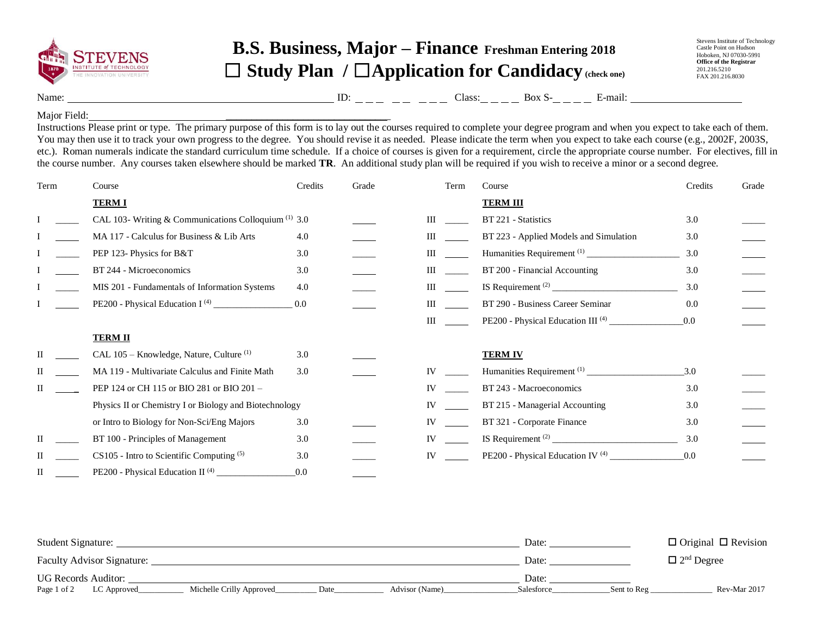

## **B.S. Business, Major – Finance Freshman Entering 2018** ☐ **Study Plan /** ☐**Application for Candidacy (check one)**

Stevens Institute of Technology Castle Point on Hudson Hoboken, NJ 07030-5991 **Office of the Registrar** 201.216.5210 FAX 201.216.8030

Name: Class: Box S- E-mail: ID:

## Major Field:

Instructions Please print or type. The primary purpose of this form is to lay out the courses required to complete your degree program and when you expect to take each of them. You may then use it to track your own progress to the degree. You should revise it as needed. Please indicate the term when you expect to take each course (e.g., 2002F, 2003S, etc.). Roman numerals indicate the standard curriculum time schedule. If a choice of courses is given for a requirement, circle the appropriate course number. For electives, fill in the course number. Any courses taken elsewhere should be marked **TR**. An additional study plan will be required if you wish to receive a minor or a second degree.

 $\overline{\phantom{a}}$  , where  $\overline{\phantom{a}}$  , where  $\overline{\phantom{a}}$  , where  $\overline{\phantom{a}}$  , where  $\overline{\phantom{a}}$ 

| Term | Course                                                 | Credits | Grade | Term               | Course                                       | Credits | Grade |
|------|--------------------------------------------------------|---------|-------|--------------------|----------------------------------------------|---------|-------|
|      | <b>TERM I</b>                                          |         |       |                    | <b>TERM III</b>                              |         |       |
|      | CAL 103- Writing & Communications Colloquium $(1)$ 3.0 |         |       | $\mathop{\rm III}$ | BT 221 - Statistics                          | 3.0     |       |
|      | MA 117 - Calculus for Business & Lib Arts              | 4.0     |       | Ш                  | BT 223 - Applied Models and Simulation       | 3.0     |       |
|      | PEP 123- Physics for B&T                               | 3.0     |       | Ш                  |                                              | 3.0     |       |
|      | BT 244 - Microeconomics                                | 3.0     |       | Ш                  | BT 200 - Financial Accounting                | 3.0     |       |
|      | MIS 201 - Fundamentals of Information Systems          | 4.0     |       | Ш                  |                                              | 3.0     |       |
|      |                                                        | 0.0     |       | Ш                  | BT 290 - Business Career Seminar             | 0.0     |       |
|      |                                                        |         |       | $\mathop{\rm III}$ |                                              | 0.0     |       |
|      | <b>TERM II</b>                                         |         |       |                    |                                              |         |       |
|      | CAL 105 – Knowledge, Nature, Culture <sup>(1)</sup>    | 3.0     |       |                    | <b>TERM IV</b>                               |         |       |
|      | MA 119 - Multivariate Calculus and Finite Math         | 3.0     |       | IV                 |                                              | 3.0     |       |
|      | PEP 124 or CH 115 or BIO 281 or BIO 201 -              |         |       | <b>IV</b>          | BT 243 - Macroeconomics                      | 3.0     |       |
|      | Physics II or Chemistry I or Biology and Biotechnology |         |       | IV                 | BT 215 - Managerial Accounting               | 3.0     |       |
|      | or Intro to Biology for Non-Sci/Eng Majors             | 3.0     |       | <b>IV</b>          | BT 321 - Corporate Finance                   | 3.0     |       |
|      | BT 100 - Principles of Management                      | 3.0     |       | <b>IV</b>          |                                              | 3.0     |       |
|      | $CS105$ - Intro to Scientific Computing $(5)$          | 3.0     |       | IV                 | PE200 - Physical Education IV <sup>(4)</sup> | 0.0     |       |
| П    | PE200 - Physical Education II <sup>(4)</sup>           | 0.0     |       |                    |                                              |         |       |

| Student Signature:                                                               | Date:                     | $\Box$ Original $\Box$ Revision |  |
|----------------------------------------------------------------------------------|---------------------------|---------------------------------|--|
| <b>Faculty Advisor Signature:</b>                                                | Date:                     | $\Box$ 2 <sup>nd</sup> Degree   |  |
| <b>UG Records Auditor:</b>                                                       | Date:                     |                                 |  |
| Page 1 of 2<br>Michelle Crilly Approved<br>Advisor (Name)<br>LC Approved<br>Date | Salesforce<br>Sent to Reg | Rev-Mar 2017                    |  |